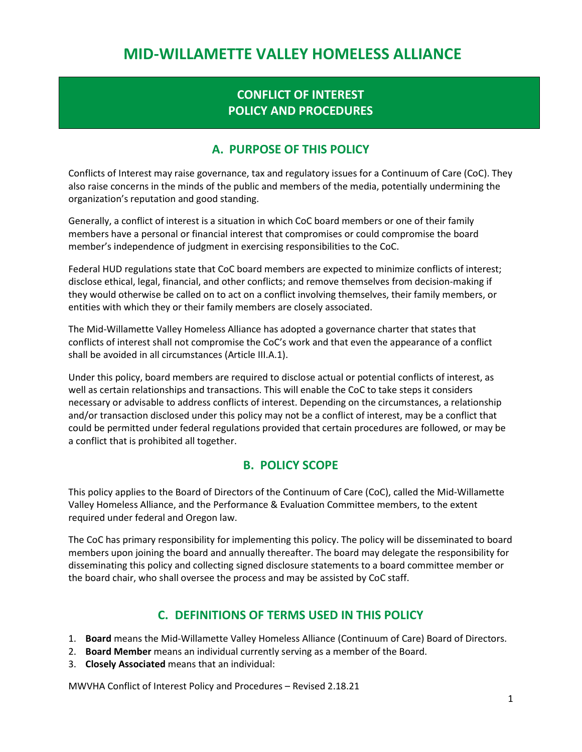# MID-WILLAMETTE VALLEY HOMELESS ALLIANCE

# CONFLICT OF INTEREST POLICY AND PROCEDURES

### A. PURPOSE OF THIS POLICY

Conflicts of Interest may raise governance, tax and regulatory issues for a Continuum of Care (CoC). They also raise concerns in the minds of the public and members of the media, potentially undermining the organization's reputation and good standing.

Generally, a conflict of interest is a situation in which CoC board members or one of their family members have a personal or financial interest that compromises or could compromise the board member's independence of judgment in exercising responsibilities to the CoC.

Federal HUD regulations state that CoC board members are expected to minimize conflicts of interest; disclose ethical, legal, financial, and other conflicts; and remove themselves from decision-making if they would otherwise be called on to act on a conflict involving themselves, their family members, or entities with which they or their family members are closely associated.

The Mid-Willamette Valley Homeless Alliance has adopted a governance charter that states that conflicts of interest shall not compromise the CoC's work and that even the appearance of a conflict shall be avoided in all circumstances (Article III.A.1).

Under this policy, board members are required to disclose actual or potential conflicts of interest, as well as certain relationships and transactions. This will enable the CoC to take steps it considers necessary or advisable to address conflicts of interest. Depending on the circumstances, a relationship and/or transaction disclosed under this policy may not be a conflict of interest, may be a conflict that could be permitted under federal regulations provided that certain procedures are followed, or may be a conflict that is prohibited all together.

### B. POLICY SCOPE

This policy applies to the Board of Directors of the Continuum of Care (CoC), called the Mid-Willamette Valley Homeless Alliance, and the Performance & Evaluation Committee members, to the extent required under federal and Oregon law.

The CoC has primary responsibility for implementing this policy. The policy will be disseminated to board members upon joining the board and annually thereafter. The board may delegate the responsibility for disseminating this policy and collecting signed disclosure statements to a board committee member or the board chair, who shall oversee the process and may be assisted by CoC staff.

## C. DEFINITIONS OF TERMS USED IN THIS POLICY

- 1. Board means the Mid-Willamette Valley Homeless Alliance (Continuum of Care) Board of Directors.
- 2. Board Member means an individual currently serving as a member of the Board.
- 3. Closely Associated means that an individual: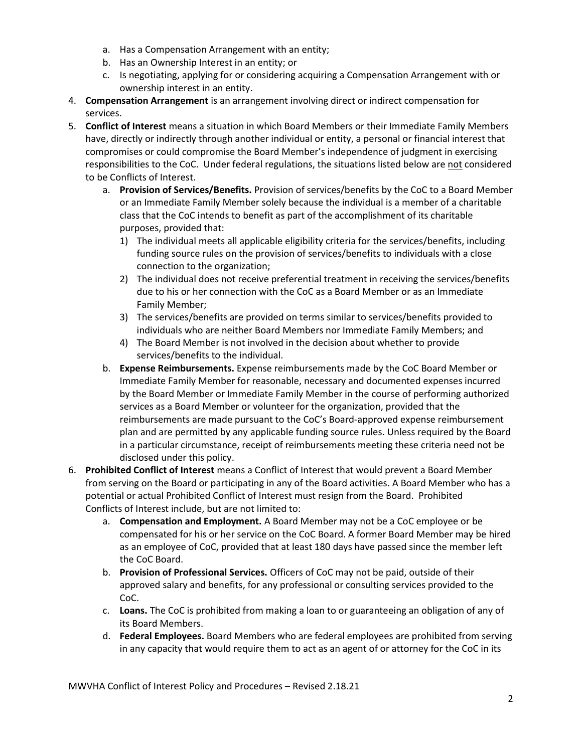- a. Has a Compensation Arrangement with an entity;
- b. Has an Ownership Interest in an entity; or
- c. Is negotiating, applying for or considering acquiring a Compensation Arrangement with or ownership interest in an entity.
- 4. Compensation Arrangement is an arrangement involving direct or indirect compensation for services.
- 5. Conflict of Interest means a situation in which Board Members or their Immediate Family Members have, directly or indirectly through another individual or entity, a personal or financial interest that compromises or could compromise the Board Member's independence of judgment in exercising responsibilities to the CoC. Under federal regulations, the situations listed below are not considered to be Conflicts of Interest.
	- a. Provision of Services/Benefits. Provision of services/benefits by the CoC to a Board Member or an Immediate Family Member solely because the individual is a member of a charitable class that the CoC intends to benefit as part of the accomplishment of its charitable purposes, provided that:
		- 1) The individual meets all applicable eligibility criteria for the services/benefits, including funding source rules on the provision of services/benefits to individuals with a close connection to the organization;
		- 2) The individual does not receive preferential treatment in receiving the services/benefits due to his or her connection with the CoC as a Board Member or as an Immediate Family Member;
		- 3) The services/benefits are provided on terms similar to services/benefits provided to individuals who are neither Board Members nor Immediate Family Members; and
		- 4) The Board Member is not involved in the decision about whether to provide services/benefits to the individual.
	- b. **Expense Reimbursements.** Expense reimbursements made by the CoC Board Member or Immediate Family Member for reasonable, necessary and documented expenses incurred by the Board Member or Immediate Family Member in the course of performing authorized services as a Board Member or volunteer for the organization, provided that the reimbursements are made pursuant to the CoC's Board-approved expense reimbursement plan and are permitted by any applicable funding source rules. Unless required by the Board in a particular circumstance, receipt of reimbursements meeting these criteria need not be disclosed under this policy.
- 6. Prohibited Conflict of Interest means a Conflict of Interest that would prevent a Board Member from serving on the Board or participating in any of the Board activities. A Board Member who has a potential or actual Prohibited Conflict of Interest must resign from the Board. Prohibited Conflicts of Interest include, but are not limited to:
	- a. Compensation and Employment. A Board Member may not be a CoC employee or be compensated for his or her service on the CoC Board. A former Board Member may be hired as an employee of CoC, provided that at least 180 days have passed since the member left the CoC Board.
	- b. Provision of Professional Services. Officers of CoC may not be paid, outside of their approved salary and benefits, for any professional or consulting services provided to the CoC.
	- c. Loans. The CoC is prohibited from making a loan to or guaranteeing an obligation of any of its Board Members.
	- d. Federal Employees. Board Members who are federal employees are prohibited from serving in any capacity that would require them to act as an agent of or attorney for the CoC in its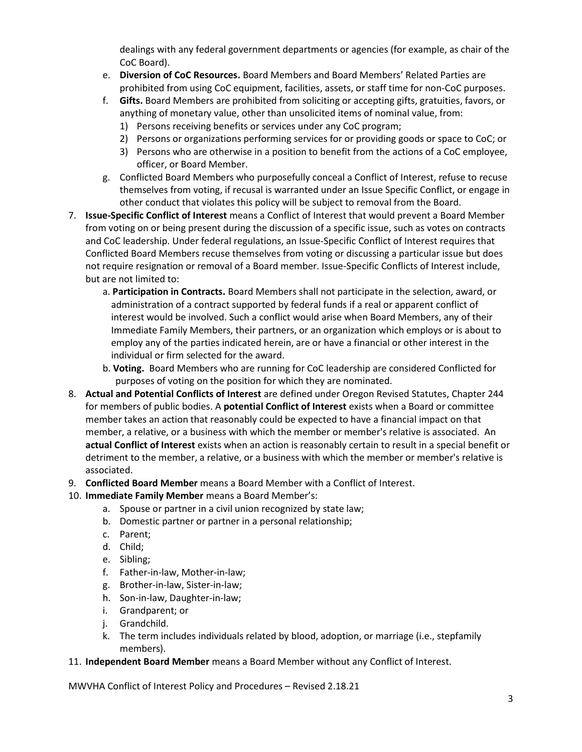dealings with any federal government departments or agencies (for example, as chair of the CoC Board).

- e. Diversion of CoC Resources. Board Members and Board Members' Related Parties are prohibited from using CoC equipment, facilities, assets, or staff time for non-CoC purposes.
- f. Gifts. Board Members are prohibited from soliciting or accepting gifts, gratuities, favors, or anything of monetary value, other than unsolicited items of nominal value, from:
	- 1) Persons receiving benefits or services under any CoC program;
	- 2) Persons or organizations performing services for or providing goods or space to CoC; or
	- 3) Persons who are otherwise in a position to benefit from the actions of a CoC employee, officer, or Board Member.
- g. Conflicted Board Members who purposefully conceal a Conflict of Interest, refuse to recuse themselves from voting, if recusal is warranted under an Issue Specific Conflict, or engage in other conduct that violates this policy will be subject to removal from the Board.
- 7. Issue-Specific Conflict of Interest means a Conflict of Interest that would prevent a Board Member from voting on or being present during the discussion of a specific issue, such as votes on contracts and CoC leadership. Under federal regulations, an Issue-Specific Conflict of Interest requires that Conflicted Board Members recuse themselves from voting or discussing a particular issue but does not require resignation or removal of a Board member. Issue-Specific Conflicts of Interest include, but are not limited to:
	- a. Participation in Contracts. Board Members shall not participate in the selection, award, or administration of a contract supported by federal funds if a real or apparent conflict of interest would be involved. Such a conflict would arise when Board Members, any of their Immediate Family Members, their partners, or an organization which employs or is about to employ any of the parties indicated herein, are or have a financial or other interest in the individual or firm selected for the award.
	- b. Voting. Board Members who are running for CoC leadership are considered Conflicted for purposes of voting on the position for which they are nominated.
- 8. Actual and Potential Conflicts of Interest are defined under Oregon Revised Statutes, Chapter 244 for members of public bodies. A **potential Conflict of Interest** exists when a Board or committee member takes an action that reasonably could be expected to have a financial impact on that member, a relative, or a business with which the member or member's relative is associated. An actual Conflict of Interest exists when an action is reasonably certain to result in a special benefit or detriment to the member, a relative, or a business with which the member or member's relative is associated.
- 9. Conflicted Board Member means a Board Member with a Conflict of Interest.

#### 10. Immediate Family Member means a Board Member's:

- a. Spouse or partner in a civil union recognized by state law;
- b. Domestic partner or partner in a personal relationship;
- c. Parent;
- d. Child;
- e. Sibling;
- f. Father-in-law, Mother-in-law;
- g. Brother-in-law, Sister-in-law;
- h. Son-in-law, Daughter-in-law;
- i. Grandparent; or
- j. Grandchild.
- k. The term includes individuals related by blood, adoption, or marriage (i.e., stepfamily members).
- 11. Independent Board Member means a Board Member without any Conflict of Interest.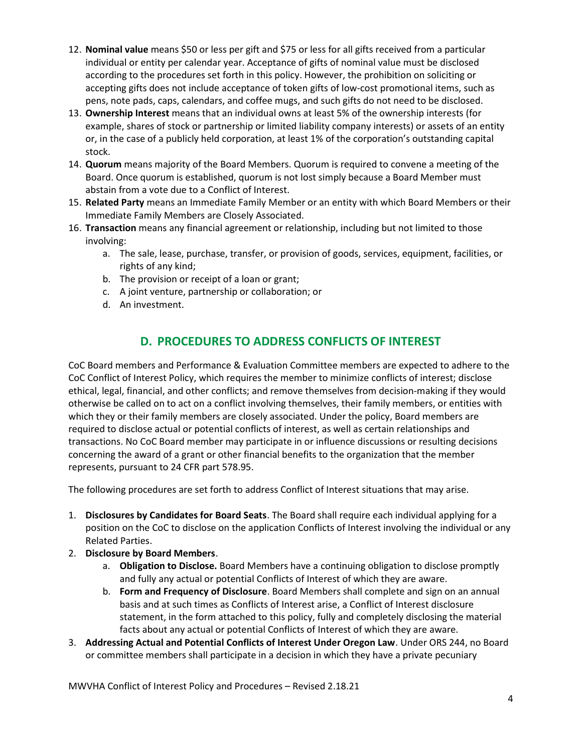- 12. Nominal value means \$50 or less per gift and \$75 or less for all gifts received from a particular individual or entity per calendar year. Acceptance of gifts of nominal value must be disclosed according to the procedures set forth in this policy. However, the prohibition on soliciting or accepting gifts does not include acceptance of token gifts of low-cost promotional items, such as pens, note pads, caps, calendars, and coffee mugs, and such gifts do not need to be disclosed.
- 13. Ownership Interest means that an individual owns at least 5% of the ownership interests (for example, shares of stock or partnership or limited liability company interests) or assets of an entity or, in the case of a publicly held corporation, at least 1% of the corporation's outstanding capital stock.
- 14. **Quorum** means majority of the Board Members. Quorum is required to convene a meeting of the Board. Once quorum is established, quorum is not lost simply because a Board Member must abstain from a vote due to a Conflict of Interest.
- 15. Related Party means an Immediate Family Member or an entity with which Board Members or their Immediate Family Members are Closely Associated.
- 16. Transaction means any financial agreement or relationship, including but not limited to those involving:
	- a. The sale, lease, purchase, transfer, or provision of goods, services, equipment, facilities, or rights of any kind;
	- b. The provision or receipt of a loan or grant;
	- c. A joint venture, partnership or collaboration; or
	- d. An investment.

# D. PROCEDURES TO ADDRESS CONFLICTS OF INTEREST

CoC Board members and Performance & Evaluation Committee members are expected to adhere to the CoC Conflict of Interest Policy, which requires the member to minimize conflicts of interest; disclose ethical, legal, financial, and other conflicts; and remove themselves from decision-making if they would otherwise be called on to act on a conflict involving themselves, their family members, or entities with which they or their family members are closely associated. Under the policy, Board members are required to disclose actual or potential conflicts of interest, as well as certain relationships and transactions. No CoC Board member may participate in or influence discussions or resulting decisions concerning the award of a grant or other financial benefits to the organization that the member represents, pursuant to 24 CFR part 578.95.

The following procedures are set forth to address Conflict of Interest situations that may arise.

- 1. Disclosures by Candidates for Board Seats. The Board shall require each individual applying for a position on the CoC to disclose on the application Conflicts of Interest involving the individual or any Related Parties.
- 2. Disclosure by Board Members.
	- a. Obligation to Disclose. Board Members have a continuing obligation to disclose promptly and fully any actual or potential Conflicts of Interest of which they are aware.
	- b. Form and Frequency of Disclosure. Board Members shall complete and sign on an annual basis and at such times as Conflicts of Interest arise, a Conflict of Interest disclosure statement, in the form attached to this policy, fully and completely disclosing the material facts about any actual or potential Conflicts of Interest of which they are aware.
- 3. Addressing Actual and Potential Conflicts of Interest Under Oregon Law. Under ORS 244, no Board or committee members shall participate in a decision in which they have a private pecuniary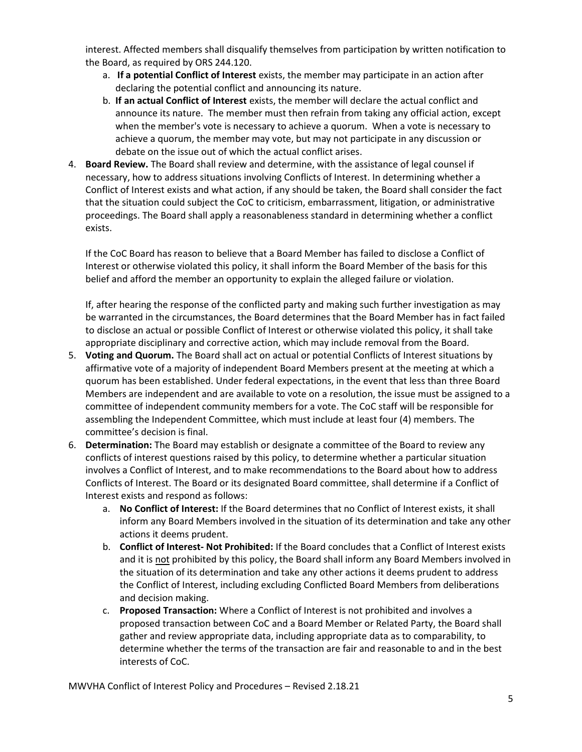interest. Affected members shall disqualify themselves from participation by written notification to the Board, as required by ORS 244.120.

- a. If a potential Conflict of Interest exists, the member may participate in an action after declaring the potential conflict and announcing its nature.
- b. If an actual Conflict of Interest exists, the member will declare the actual conflict and announce its nature. The member must then refrain from taking any official action, except when the member's vote is necessary to achieve a quorum. When a vote is necessary to achieve a quorum, the member may vote, but may not participate in any discussion or debate on the issue out of which the actual conflict arises.
- 4. Board Review. The Board shall review and determine, with the assistance of legal counsel if necessary, how to address situations involving Conflicts of Interest. In determining whether a Conflict of Interest exists and what action, if any should be taken, the Board shall consider the fact that the situation could subject the CoC to criticism, embarrassment, litigation, or administrative proceedings. The Board shall apply a reasonableness standard in determining whether a conflict exists.

If the CoC Board has reason to believe that a Board Member has failed to disclose a Conflict of Interest or otherwise violated this policy, it shall inform the Board Member of the basis for this belief and afford the member an opportunity to explain the alleged failure or violation.

If, after hearing the response of the conflicted party and making such further investigation as may be warranted in the circumstances, the Board determines that the Board Member has in fact failed to disclose an actual or possible Conflict of Interest or otherwise violated this policy, it shall take appropriate disciplinary and corrective action, which may include removal from the Board.

- 5. Voting and Quorum. The Board shall act on actual or potential Conflicts of Interest situations by affirmative vote of a majority of independent Board Members present at the meeting at which a quorum has been established. Under federal expectations, in the event that less than three Board Members are independent and are available to vote on a resolution, the issue must be assigned to a committee of independent community members for a vote. The CoC staff will be responsible for assembling the Independent Committee, which must include at least four (4) members. The committee's decision is final.
- 6. Determination: The Board may establish or designate a committee of the Board to review any conflicts of interest questions raised by this policy, to determine whether a particular situation involves a Conflict of Interest, and to make recommendations to the Board about how to address Conflicts of Interest. The Board or its designated Board committee, shall determine if a Conflict of Interest exists and respond as follows:
	- a. No Conflict of Interest: If the Board determines that no Conflict of Interest exists, it shall inform any Board Members involved in the situation of its determination and take any other actions it deems prudent.
	- b. Conflict of Interest- Not Prohibited: If the Board concludes that a Conflict of Interest exists and it is not prohibited by this policy, the Board shall inform any Board Members involved in the situation of its determination and take any other actions it deems prudent to address the Conflict of Interest, including excluding Conflicted Board Members from deliberations and decision making.
	- c. Proposed Transaction: Where a Conflict of Interest is not prohibited and involves a proposed transaction between CoC and a Board Member or Related Party, the Board shall gather and review appropriate data, including appropriate data as to comparability, to determine whether the terms of the transaction are fair and reasonable to and in the best interests of CoC.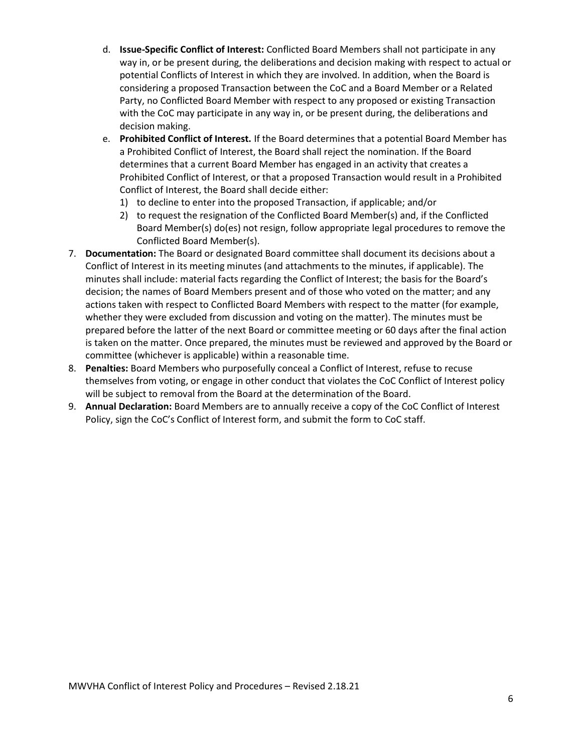- d. Issue-Specific Conflict of Interest: Conflicted Board Members shall not participate in any way in, or be present during, the deliberations and decision making with respect to actual or potential Conflicts of Interest in which they are involved. In addition, when the Board is considering a proposed Transaction between the CoC and a Board Member or a Related Party, no Conflicted Board Member with respect to any proposed or existing Transaction with the CoC may participate in any way in, or be present during, the deliberations and decision making.
- e. Prohibited Conflict of Interest. If the Board determines that a potential Board Member has a Prohibited Conflict of Interest, the Board shall reject the nomination. If the Board determines that a current Board Member has engaged in an activity that creates a Prohibited Conflict of Interest, or that a proposed Transaction would result in a Prohibited Conflict of Interest, the Board shall decide either:
	- 1) to decline to enter into the proposed Transaction, if applicable; and/or
	- 2) to request the resignation of the Conflicted Board Member(s) and, if the Conflicted Board Member(s) do(es) not resign, follow appropriate legal procedures to remove the Conflicted Board Member(s).
- 7. Documentation: The Board or designated Board committee shall document its decisions about a Conflict of Interest in its meeting minutes (and attachments to the minutes, if applicable). The minutes shall include: material facts regarding the Conflict of Interest; the basis for the Board's decision; the names of Board Members present and of those who voted on the matter; and any actions taken with respect to Conflicted Board Members with respect to the matter (for example, whether they were excluded from discussion and voting on the matter). The minutes must be prepared before the latter of the next Board or committee meeting or 60 days after the final action is taken on the matter. Once prepared, the minutes must be reviewed and approved by the Board or committee (whichever is applicable) within a reasonable time.
- 8. Penalties: Board Members who purposefully conceal a Conflict of Interest, refuse to recuse themselves from voting, or engage in other conduct that violates the CoC Conflict of Interest policy will be subject to removal from the Board at the determination of the Board.
- 9. Annual Declaration: Board Members are to annually receive a copy of the CoC Conflict of Interest Policy, sign the CoC's Conflict of Interest form, and submit the form to CoC staff.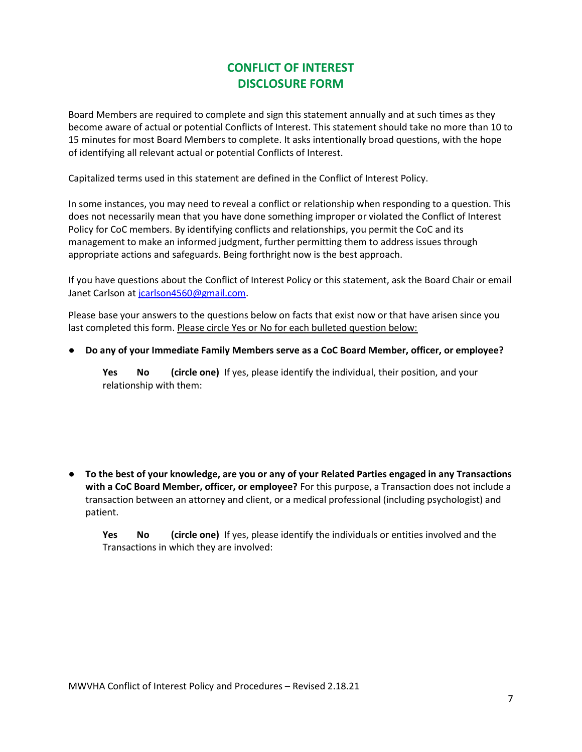# CONFLICT OF INTEREST DISCLOSURE FORM

Board Members are required to complete and sign this statement annually and at such times as they become aware of actual or potential Conflicts of Interest. This statement should take no more than 10 to 15 minutes for most Board Members to complete. It asks intentionally broad questions, with the hope of identifying all relevant actual or potential Conflicts of Interest.

Capitalized terms used in this statement are defined in the Conflict of Interest Policy.

In some instances, you may need to reveal a conflict or relationship when responding to a question. This does not necessarily mean that you have done something improper or violated the Conflict of Interest Policy for CoC members. By identifying conflicts and relationships, you permit the CoC and its management to make an informed judgment, further permitting them to address issues through appropriate actions and safeguards. Being forthright now is the best approach.

If you have questions about the Conflict of Interest Policy or this statement, ask the Board Chair or email Janet Carlson at jcarlson4560@gmail.com.

Please base your answers to the questions below on facts that exist now or that have arisen since you last completed this form. Please circle Yes or No for each bulleted question below:

● Do any of your Immediate Family Members serve as a CoC Board Member, officer, or employee?

Yes No (circle one) If yes, please identify the individual, their position, and your relationship with them:

● To the best of your knowledge, are you or any of your Related Parties engaged in any Transactions with a CoC Board Member, officer, or employee? For this purpose, a Transaction does not include a transaction between an attorney and client, or a medical professional (including psychologist) and patient.

Yes No (circle one) If yes, please identify the individuals or entities involved and the Transactions in which they are involved: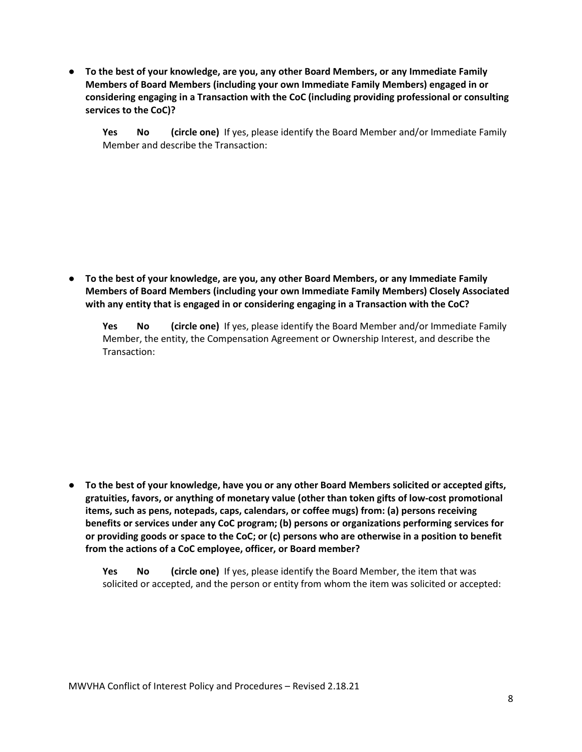● To the best of your knowledge, are you, any other Board Members, or any Immediate Family Members of Board Members (including your own Immediate Family Members) engaged in or considering engaging in a Transaction with the CoC (including providing professional or consulting services to the CoC)?

Yes No (circle one) If yes, please identify the Board Member and/or Immediate Family Member and describe the Transaction:

● To the best of your knowledge, are you, any other Board Members, or any Immediate Family Members of Board Members (including your own Immediate Family Members) Closely Associated with any entity that is engaged in or considering engaging in a Transaction with the CoC?

Yes No (circle one) If yes, please identify the Board Member and/or Immediate Family Member, the entity, the Compensation Agreement or Ownership Interest, and describe the Transaction:

● To the best of your knowledge, have you or any other Board Members solicited or accepted gifts, gratuities, favors, or anything of monetary value (other than token gifts of low-cost promotional items, such as pens, notepads, caps, calendars, or coffee mugs) from: (a) persons receiving benefits or services under any CoC program; (b) persons or organizations performing services for or providing goods or space to the CoC; or (c) persons who are otherwise in a position to benefit from the actions of a CoC employee, officer, or Board member?

Yes No (circle one) If yes, please identify the Board Member, the item that was solicited or accepted, and the person or entity from whom the item was solicited or accepted: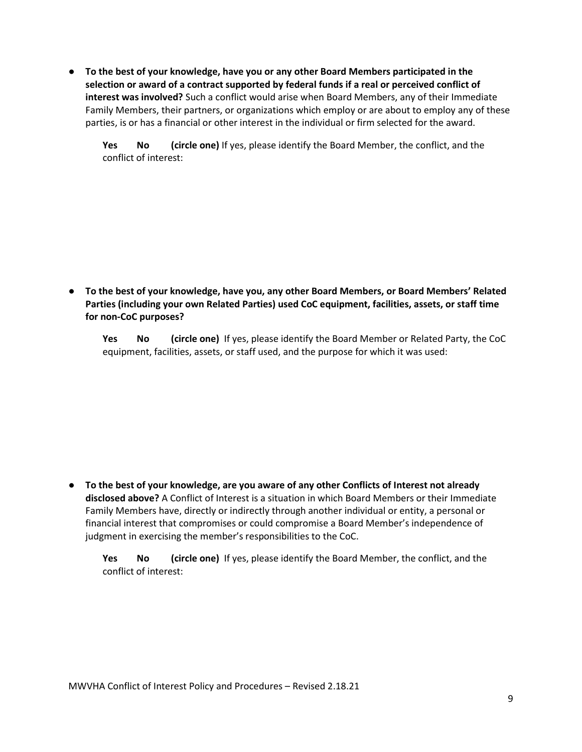● To the best of your knowledge, have you or any other Board Members participated in the selection or award of a contract supported by federal funds if a real or perceived conflict of interest was involved? Such a conflict would arise when Board Members, any of their Immediate Family Members, their partners, or organizations which employ or are about to employ any of these parties, is or has a financial or other interest in the individual or firm selected for the award.

Yes No (circle one) If yes, please identify the Board Member, the conflict, and the conflict of interest:

● To the best of your knowledge, have you, any other Board Members, or Board Members' Related Parties (including your own Related Parties) used CoC equipment, facilities, assets, or staff time for non-CoC purposes?

Yes No (circle one) If yes, please identify the Board Member or Related Party, the CoC equipment, facilities, assets, or staff used, and the purpose for which it was used:

● To the best of your knowledge, are you aware of any other Conflicts of Interest not already disclosed above? A Conflict of Interest is a situation in which Board Members or their Immediate Family Members have, directly or indirectly through another individual or entity, a personal or financial interest that compromises or could compromise a Board Member's independence of judgment in exercising the member's responsibilities to the CoC.

Yes No (circle one) If yes, please identify the Board Member, the conflict, and the conflict of interest: